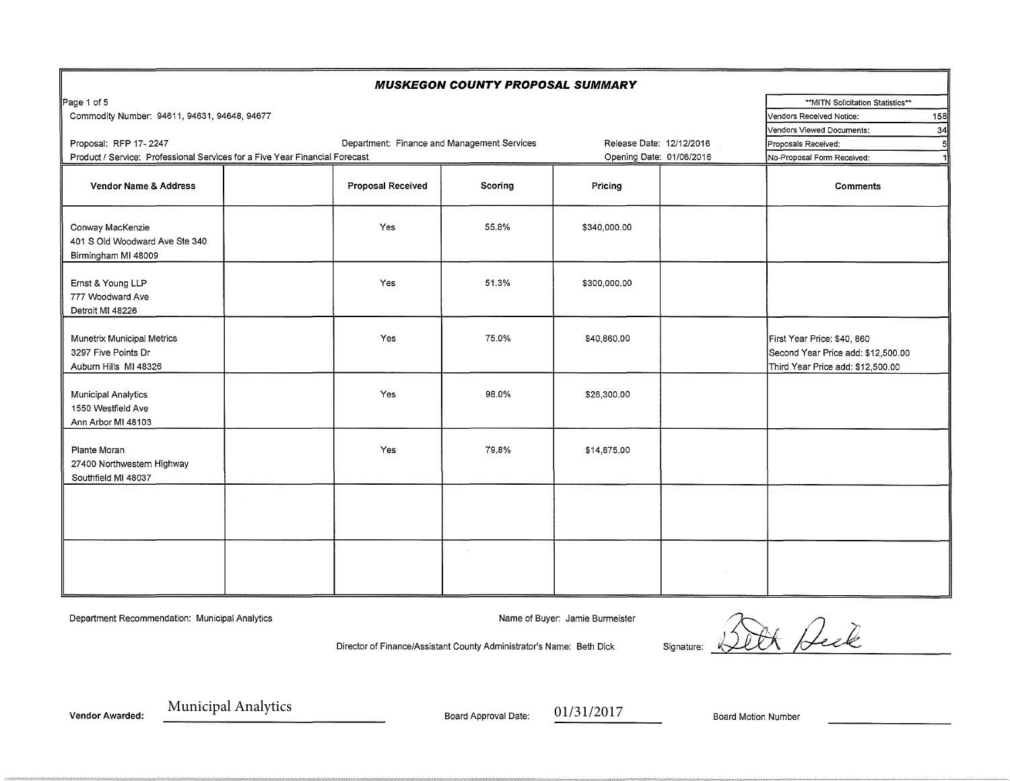|                                                                             |                                             | <b>MUSKEGON COUNTY PROPOSAL SUMMARY</b> |              |                            |                                                                                                        |
|-----------------------------------------------------------------------------|---------------------------------------------|-----------------------------------------|--------------|----------------------------|--------------------------------------------------------------------------------------------------------|
| Page 1 of 5                                                                 |                                             |                                         |              |                            | **MITN Solicitation Statistics**                                                                       |
| Commodity Number: 94611, 94631, 94648, 94677                                |                                             |                                         |              |                            | 158<br>Vendors Received Notice:                                                                        |
|                                                                             |                                             |                                         |              |                            | 34<br>Vendors Viewed Documents:                                                                        |
| Proposal: RFP 17-2247                                                       | Release Date: 12/12/2016                    | ŗ.<br>Proposals Received:               |              |                            |                                                                                                        |
| Product / Service: Professional Services for a Five Year Financial Forecast | Department: Finance and Management Services | Opening Date: 01/06/2016                |              | No-Proposal Form Received: |                                                                                                        |
|                                                                             |                                             |                                         |              |                            |                                                                                                        |
| Vendor Name & Address                                                       | <b>Proposal Received</b>                    | Scoring                                 | Pricing      |                            | <b>Comments</b>                                                                                        |
| Conway MacKenzie<br>401 S Old Woodward Ave Ste 340<br>Birmingham MI 48009   | Yes                                         | 55.8%                                   | \$340,000.00 |                            |                                                                                                        |
| Ernst & Young LLP<br>777 Woodward Ave<br>Detroit MI 48226                   | <b>Yes</b>                                  | 51.3%                                   | \$300,000.00 |                            |                                                                                                        |
| Munetrix Municipal Metrics<br>3297 Five Points Dr<br>Auburn Hills MI 48326  | <b>Yes</b>                                  | 75.0%                                   | \$40,860.00  |                            | First Year Price: \$40, 860<br>Second Year Price add: \$12,500.00<br>Third Year Price add: \$12,500.00 |
| <b>Municipal Analytics</b><br>1550 Westfield Ave<br>Ann Arbor MI 48103      | Yes                                         | 98.0%                                   | \$26,300.00  |                            |                                                                                                        |
| Plante Moran<br>27400 Northwestern Highway<br>Southfield MI 48037           | Yes                                         | 79.8%                                   | \$14,875.00  |                            |                                                                                                        |
|                                                                             |                                             |                                         |              |                            |                                                                                                        |
|                                                                             |                                             |                                         |              |                            |                                                                                                        |

Department Recommendation: Municipal Analytics Name of Buyer: Jamie Burmeister Name of Buyer: Jamie Burmeister

Or Deck Director of Finance/Assistant County Administrator's Name: Beth Dick Signature:

Municipal Analytics Board Approval Date: 01/31/2017 Vendor Awarded: With Principal Assistance of Board Approval Date: 01/31/2017 Board Motion Number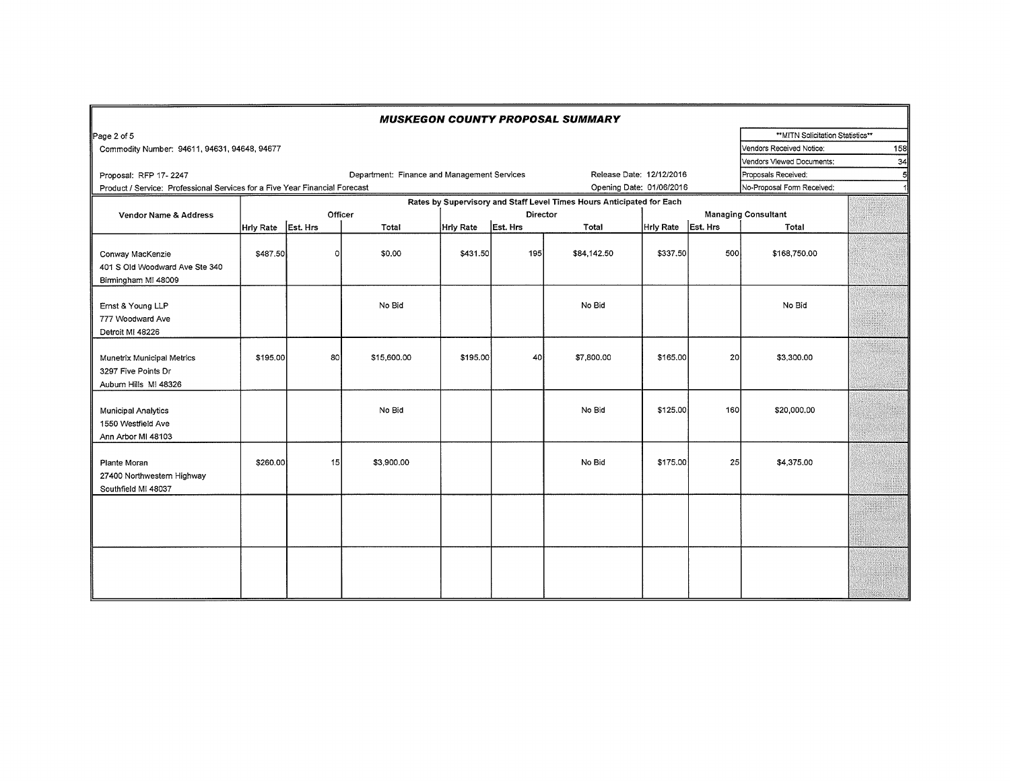| <b>MUSKEGON COUNTY PROPOSAL SUMMARY</b>                                    |                                                                                                         |          |                                             |                  |          |                                                                       |           |          |                                   |  |
|----------------------------------------------------------------------------|---------------------------------------------------------------------------------------------------------|----------|---------------------------------------------|------------------|----------|-----------------------------------------------------------------------|-----------|----------|-----------------------------------|--|
| Page 2 of 5                                                                |                                                                                                         |          |                                             |                  |          |                                                                       |           |          | ** MITN Solicitation Statistics** |  |
| Commodity Number: 94611, 94631, 94648, 94677                               | 158<br>Vendors Received Notice:                                                                         |          |                                             |                  |          |                                                                       |           |          |                                   |  |
|                                                                            | Vendors Viewed Documents:                                                                               | 34       |                                             |                  |          |                                                                       |           |          |                                   |  |
| Proposal: RFP 17-2247                                                      |                                                                                                         |          | Department: Finance and Management Services |                  |          | Release Date: 12/12/2016                                              |           |          | Proposals Received:               |  |
|                                                                            | Opening Date: 01/06/2016<br>Product / Service: Professional Services for a Five Year Financial Forecast |          |                                             |                  |          |                                                                       |           |          | No-Proposal Form Received:        |  |
|                                                                            |                                                                                                         |          |                                             |                  |          | Rates by Supervisory and Staff Level Times Hours Anticipated for Each |           |          |                                   |  |
| Vendor Name & Address                                                      |                                                                                                         | Officer  |                                             | Director         |          |                                                                       |           |          | <b>Managing Consultant</b>        |  |
|                                                                            | <b>Hrly Rate</b>                                                                                        | Est. Hrs | Total                                       | <b>Hrly Rate</b> | Est. Hrs | Total                                                                 | Hrly Rate | Est. Hrs | Total                             |  |
| Conway MacKenzie<br>401 S Old Woodward Ave Ste 340<br>Birmingham MI 48009  | \$487.50                                                                                                | $\circ$  | \$0.00                                      | \$431.50         | 195      | \$84,142.50                                                           | \$337.50  | 500      | \$168,750.00                      |  |
| Ernst & Young LLP<br>777 Woodward Ave<br>Detroit MI 48226                  |                                                                                                         |          | No Bid                                      |                  |          | No Bid                                                                |           |          | No Bid                            |  |
| Munetrix Municipal Metrics<br>3297 Five Points Dr<br>Auburn Hills MI 48326 | \$195.00                                                                                                | 80       | \$15,600.00                                 | \$195.00         | 40       | \$7,800.00                                                            | \$165.00  | 20       | \$3,300,00                        |  |
| <b>Municipal Analytics</b><br>1550 Westfield Ave<br>Ann Arbor MI 48103     |                                                                                                         |          | No Bid                                      |                  |          | No Bid                                                                | \$125.00  | 160      | \$20,000.00                       |  |
| Plante Moran<br>27400 Northwestern Highway<br>Southfield MI 48037          | \$260.00                                                                                                | 15       | \$3,900.00                                  |                  |          | No Bid                                                                | \$175.00  | 25       | \$4,375.00                        |  |
|                                                                            |                                                                                                         |          |                                             |                  |          |                                                                       |           |          |                                   |  |
|                                                                            |                                                                                                         |          |                                             |                  |          |                                                                       |           |          |                                   |  |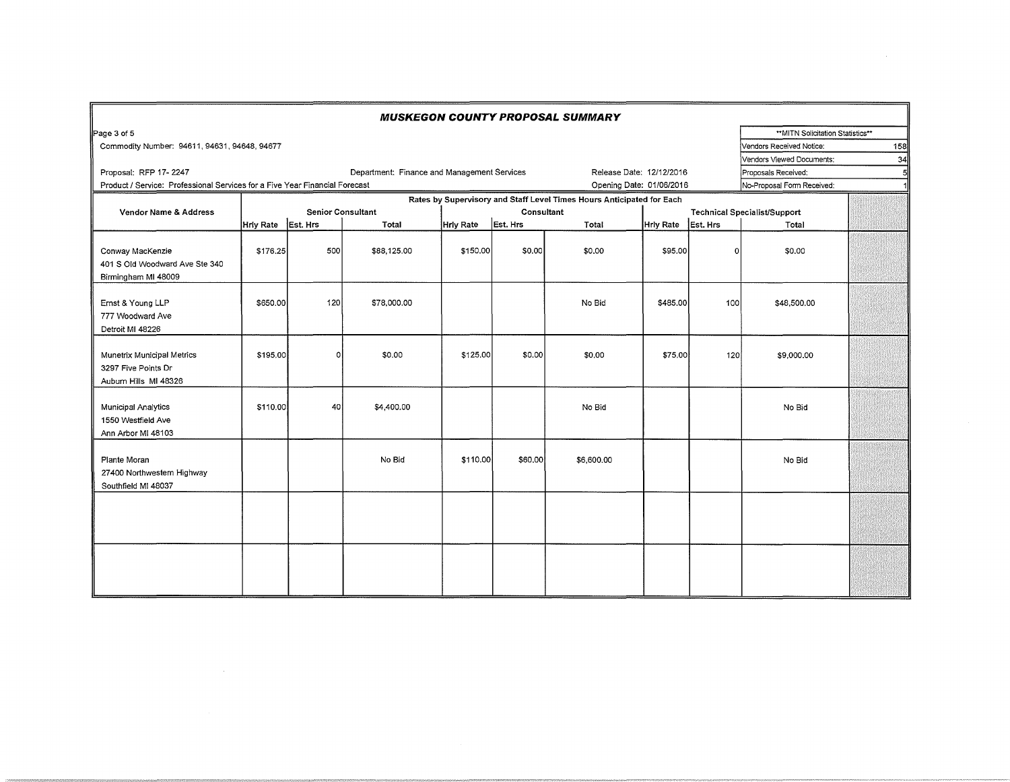| <b>MUSKEGON COUNTY PROPOSAL SUMMARY</b>                                     |                                                                                                |                          |             |                   |          |                          |                                     |          |                                  |                                 |  |
|-----------------------------------------------------------------------------|------------------------------------------------------------------------------------------------|--------------------------|-------------|-------------------|----------|--------------------------|-------------------------------------|----------|----------------------------------|---------------------------------|--|
| Page 3 of 5                                                                 |                                                                                                |                          |             |                   |          |                          |                                     |          | **MITN Solicitation Statistics** |                                 |  |
| Commodity Number: 94611, 94631, 94648, 94677                                |                                                                                                |                          |             |                   |          |                          |                                     |          |                                  | 158<br>Vendors Received Notice: |  |
| Vendors Viewed Documents:                                                   |                                                                                                |                          |             |                   |          |                          |                                     |          |                                  | 34                              |  |
| Proposal: RFP 17-2247                                                       | Department: Finance and Management Services<br>Release Date: 12/12/2016<br>Proposals Received: |                          |             |                   |          |                          |                                     |          |                                  |                                 |  |
| Product / Service: Professional Services for a Five Year Financial Forecast |                                                                                                |                          |             |                   |          | Opening Date: 01/06/2016 |                                     |          | No-Proposal Form Received:       |                                 |  |
| Rates by Supervisory and Staff Level Times Hours Anticipated for Each       |                                                                                                |                          |             |                   |          |                          |                                     |          |                                  |                                 |  |
| Vendor Name & Address                                                       |                                                                                                | <b>Senior Consultant</b> |             | <b>Consultant</b> |          |                          | <b>Technical Specialist/Support</b> |          |                                  |                                 |  |
|                                                                             | Hrly Rate Est. Hrs                                                                             |                          | Total       | Hrly Rate         | Est. Hrs | Total                    | <b>Hrly Rate</b>                    | Est. Hrs | Total                            |                                 |  |
| Conway MacKenzie<br>401 S Old Woodward Ave Ste 340<br>Birmingham MI 48009   | \$176.25                                                                                       | 500                      | \$88,125.00 | \$150.00          | \$0.00   | \$0.00                   | \$95.00                             | οI       | \$0.00                           |                                 |  |
| Ernst & Young LLP<br>777 Woodward Ave<br>Detroit MI 48226                   | \$650.00                                                                                       | 120                      | \$78,000.00 |                   |          | No Bid                   | \$485.00                            | 100      | \$48,500.00                      |                                 |  |
| Munetrix Municipal Metrics<br>3297 Five Points Dr<br>Auburn Hills MI 48326  | \$195.00                                                                                       | O                        | \$0.00      | \$125.00          | \$0.00   | \$0.00                   | \$75.00                             | 120      | \$9,000.00                       |                                 |  |
| Municipal Analytics<br>1550 Westfield Ave<br>Ann Arbor MI 48103             | \$110.00                                                                                       | 40                       | \$4,400.00  |                   |          | No Bid                   |                                     |          | No Bid                           |                                 |  |
| Plante Moran<br>27400 Northwestern Highway<br>Southfield MI 48037           |                                                                                                |                          | No Bid      | \$110.00          | \$60,00  | \$6,600.00               |                                     |          | No Bid                           |                                 |  |
|                                                                             |                                                                                                |                          |             |                   |          |                          |                                     |          |                                  |                                 |  |
|                                                                             |                                                                                                |                          |             |                   |          |                          |                                     |          |                                  |                                 |  |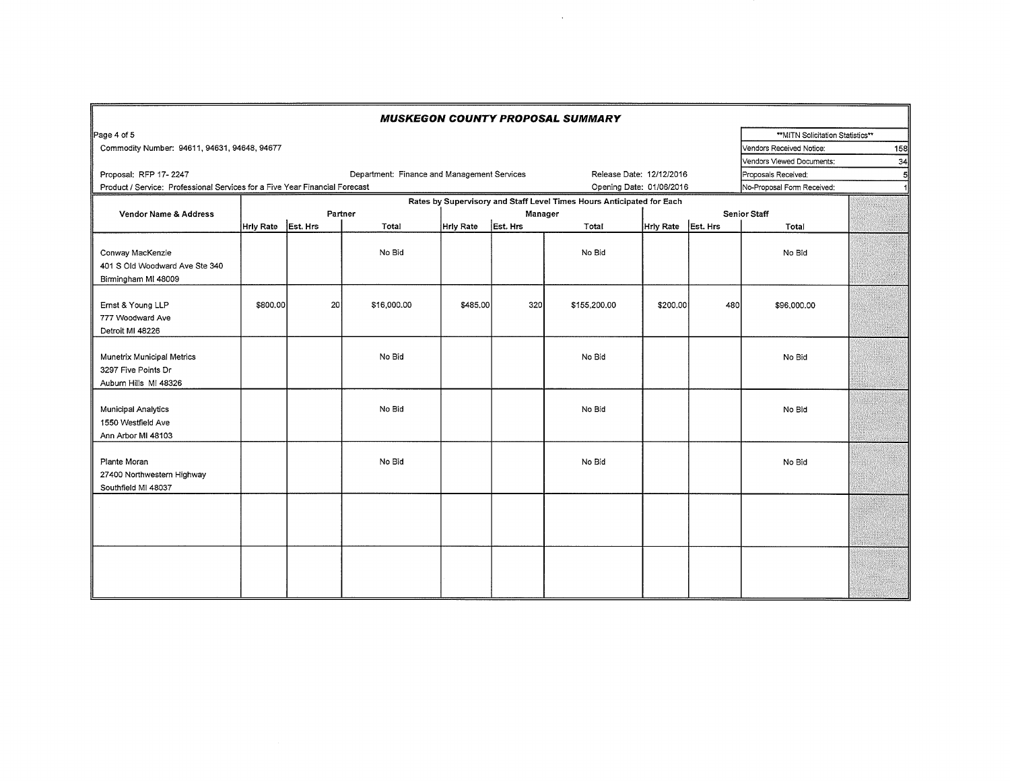| <b>MUSKEGON COUNTY PROPOSAL SUMMARY</b>                                     |                    |    |                                             |           |          |                                                                       |                    |     |                                  |   |
|-----------------------------------------------------------------------------|--------------------|----|---------------------------------------------|-----------|----------|-----------------------------------------------------------------------|--------------------|-----|----------------------------------|---|
| Page 4 of 5                                                                 |                    |    |                                             |           |          |                                                                       |                    |     | **MITN Solicitation Statistics** |   |
| Commodity Number: 94611, 94631, 94648, 94677                                |                    |    |                                             |           |          |                                                                       |                    |     | Vendors Received Notice:<br>158  |   |
|                                                                             |                    |    |                                             |           |          |                                                                       |                    |     | Vendors Viewed Documents:<br>34  |   |
| Proposal: RFP 17-2247                                                       |                    |    | Department: Finance and Management Services |           |          | Release Date: 12/12/2016                                              |                    |     | Proposals Received:              | 5 |
| Product / Service: Professional Services for a Five Year Financial Forecast |                    |    |                                             |           |          | Opening Date: 01/06/2016                                              |                    |     | No-Proposal Form Received:       |   |
|                                                                             |                    |    |                                             |           |          | Rates by Supervisory and Staff Level Times Hours Anticipated for Each |                    |     |                                  |   |
| Vendor Name & Address                                                       |                    |    | Partner                                     | Manager   |          |                                                                       |                    |     | <b>Senior Staff</b>              |   |
|                                                                             | Hrly Rate Est. Hrs |    | Total                                       | Hrly Rate | Est. Hrs | Total                                                                 | Hrly Rate Est. Hrs |     | Total                            |   |
| Conway MacKenzie<br>401 S Old Woodward Ave Ste 340<br>Birmingham MI 48009   |                    |    | No Bid                                      |           |          | No Bid                                                                |                    |     | No Bid                           |   |
| Ernst & Young LLP<br>777 Woodward Ave<br>Detroit MI 48226                   | \$800.00           | 20 | \$16,000.00                                 | \$485.00  | 320      | \$155,200.00                                                          | \$200.00           | 480 | \$96,000.00                      |   |
| Munetrix Municipal Metrics<br>3297 Five Points Dr<br>Auburn Hills MI 48326  |                    |    | No Bid                                      |           |          | No Bid                                                                |                    |     | No Bid                           |   |
| Municipal Analytics<br>1550 Westfield Ave<br>Ann Arbor MI 48103             |                    |    | No Bid                                      |           |          | No Bid                                                                |                    |     | No Bid                           |   |
| Plante Moran<br>27400 Northwestern Highway<br>Southfield MI 48037           |                    |    | No Bid                                      |           |          | No Bid                                                                |                    |     | No Bid                           |   |
|                                                                             |                    |    |                                             |           |          |                                                                       |                    |     |                                  |   |
|                                                                             |                    |    |                                             |           |          |                                                                       |                    |     |                                  |   |

 $\mathcal{L}^{\text{max}}_{\text{max}}$  and  $\mathcal{L}^{\text{max}}_{\text{max}}$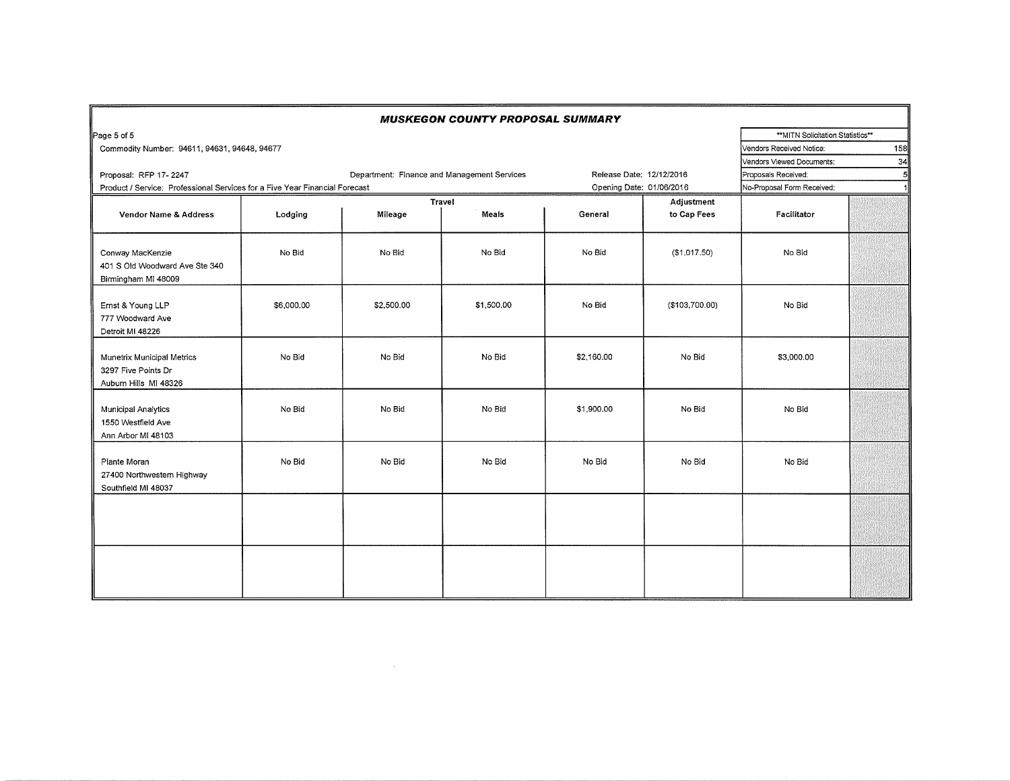|                                                                             |                                 |                     | <b>MUSKEGON COUNTY PROPOSAL SUMMARY</b> |                          |                           |                                   |    |
|-----------------------------------------------------------------------------|---------------------------------|---------------------|-----------------------------------------|--------------------------|---------------------------|-----------------------------------|----|
| Page 5 of 5                                                                 |                                 |                     |                                         |                          |                           | ** MITN Solicitation Statistics** |    |
| Commodity Number: 94611, 94631, 94648, 94677                                | 158<br>Vendors Received Notice: |                     |                                         |                          |                           |                                   |    |
|                                                                             |                                 |                     |                                         |                          |                           | Vendors Viewed Documents:         | 34 |
| Proposal: RFP 17-2247                                                       | Release Date: 12/12/2016        | Proposals Received: | 5                                       |                          |                           |                                   |    |
| Product / Service: Professional Services for a Five Year Financial Forecast |                                 |                     |                                         | Opening Date: 01/06/2016 |                           | No-Proposal Form Received:        | 1  |
| Vendor Name & Address                                                       | Lodging                         | Mileage             | <b>Travel</b><br>Meals                  | General                  | Adjustment<br>to Cap Fees | Facilitator                       |    |
| Conway MacKenzie<br>401 S Old Woodward Ave Ste 340<br>Birmingham MI 48009   | No Bid                          | No Bid              | No Bid                                  | No Bid                   | (\$1,017.50)              | No Bid                            |    |
| Ernst & Young LLP<br>777 Woodward Ave<br>Detroit MI 48226                   | \$6,000.00                      | \$2,500.00          | \$1,500.00                              | No Bid                   | (\$103,700.00)            | No Bid                            |    |
| Munetrix Municipal Metrics<br>3297 Five Points Dr<br>Auburn Hills MI 48326  | No Bid                          | No Bid              | No Bid                                  | \$2,160.00               | No Bid                    | \$3,000.00                        |    |
| <b>Municipal Analytics</b><br>1550 Westfield Ave<br>Ann Arbor MI 48103      | No Bid                          | No Bid              | No Bid                                  | \$1,900.00               | No Bid                    | No Bid                            |    |
| Plante Moran<br>27400 Northwestern Highway<br>Southfield MI 48037           | No Bid                          | No Bid              | No Bid                                  | No Bid                   | No Bid                    | No Bid                            |    |
|                                                                             |                                 |                     |                                         |                          |                           |                                   |    |
|                                                                             |                                 |                     |                                         |                          |                           |                                   |    |

 $\sim 10^{-1}$